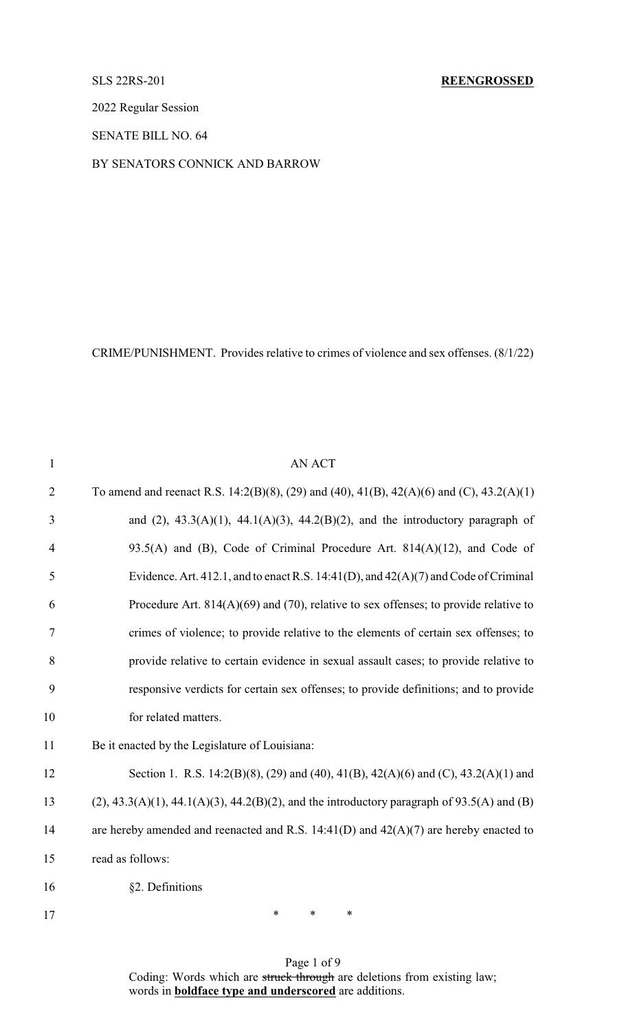# SLS 22RS-201 **REENGROSSED**

2022 Regular Session

SENATE BILL NO. 64

# BY SENATORS CONNICK AND BARROW

CRIME/PUNISHMENT. Provides relative to crimes of violence and sex offenses. (8/1/22)

| $\mathbf{1}$   | AN ACT                                                                                        |
|----------------|-----------------------------------------------------------------------------------------------|
| $\overline{2}$ | To amend and reenact R.S. 14:2(B)(8), (29) and (40), 41(B), 42(A)(6) and (C), 43.2(A)(1)      |
| 3              | and $(2)$ , 43.3(A)(1), 44.1(A)(3), 44.2(B)(2), and the introductory paragraph of             |
| $\overline{4}$ | 93.5(A) and (B), Code of Criminal Procedure Art. $814(A)(12)$ , and Code of                   |
| 5              | Evidence. Art. 412.1, and to enact R.S. 14:41(D), and $42(A)(7)$ and Code of Criminal         |
| 6              | Procedure Art. $814(A)(69)$ and (70), relative to sex offenses; to provide relative to        |
| $\overline{7}$ | crimes of violence; to provide relative to the elements of certain sex offenses; to           |
| 8              | provide relative to certain evidence in sexual assault cases; to provide relative to          |
| 9              | responsive verdicts for certain sex offenses; to provide definitions; and to provide          |
| 10             | for related matters.                                                                          |
| 11             | Be it enacted by the Legislature of Louisiana:                                                |
| 12             | Section 1. R.S. 14:2(B)(8), (29) and (40), 41(B), 42(A)(6) and (C), 43.2(A)(1) and            |
| 13             | $(2)$ , 43.3(A)(1), 44.1(A)(3), 44.2(B)(2), and the introductory paragraph of 93.5(A) and (B) |
| 14             | are hereby amended and reenacted and R.S. $14:41(D)$ and $42(A)(7)$ are hereby enacted to     |
| 15             | read as follows:                                                                              |
| 16             | §2. Definitions                                                                               |
|                |                                                                                               |

Page 1 of 9 Coding: Words which are struck through are deletions from existing law; words in **boldface type and underscored** are additions.

17 \* \* \* \*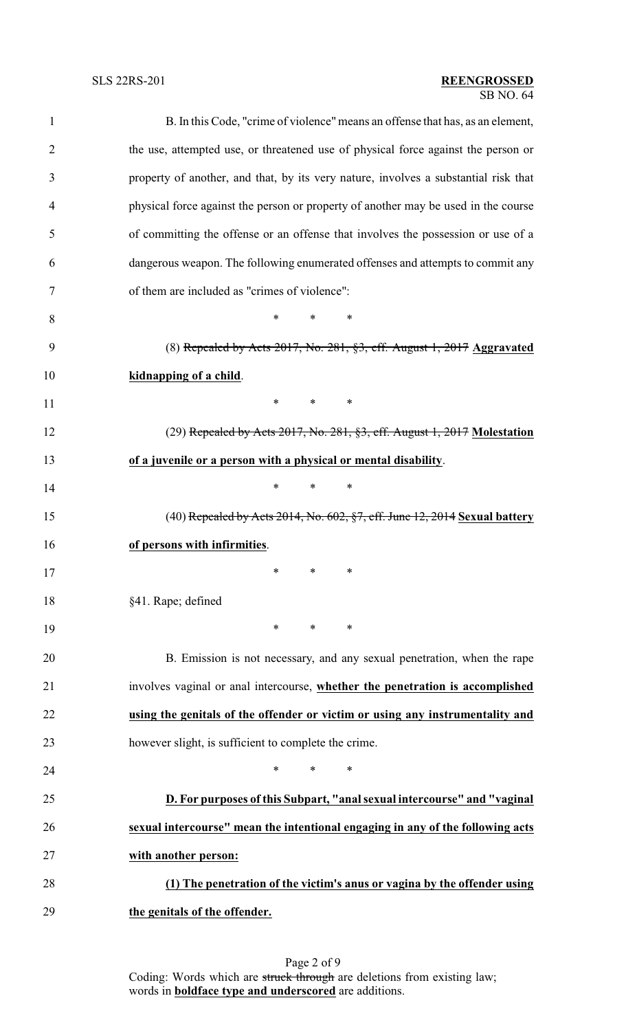# SB NO. 64 SLS 22RS-201 **REENGROSSED**

| $\mathbf{1}$   | B. In this Code, "crime of violence" means an offense that has, as an element,      |
|----------------|-------------------------------------------------------------------------------------|
| $\overline{2}$ | the use, attempted use, or threatened use of physical force against the person or   |
| 3              | property of another, and that, by its very nature, involves a substantial risk that |
| $\overline{4}$ | physical force against the person or property of another may be used in the course  |
| 5              | of committing the offense or an offense that involves the possession or use of a    |
| 6              | dangerous weapon. The following enumerated offenses and attempts to commit any      |
| 7              | of them are included as "crimes of violence":                                       |
| 8              | $*$ $*$<br>$*$<br>$\ast$                                                            |
| 9              | $(8)$ Repealed by Acts 2017, No. 281, §3, eff. August 1, 2017 Aggravated            |
| 10             | kidnapping of a child.                                                              |
| 11             | $*$ $*$<br>$*$ and $*$<br>$\ast$                                                    |
| 12             | (29) Repealed by Acts 2017, No. 281, §3, eff. August 1, 2017 Molestation            |
| 13             | of a juvenile or a person with a physical or mental disability.                     |
| 14             | $\ast$<br>$\ast$<br>∗                                                               |
| 15             | $(40)$ Repealed by Acts 2014, No. 602, §7, eff. June 12, 2014 Sexual battery        |
| 16             | of persons with infirmities.                                                        |
| 17             |                                                                                     |
| 18             | §41. Rape; defined                                                                  |
| 19             | $\ast$<br>$\ast$<br>∗                                                               |
| 20             | B. Emission is not necessary, and any sexual penetration, when the rape             |
| 21             | involves vaginal or anal intercourse, whether the penetration is accomplished       |
| 22             | using the genitals of the offender or victim or using any instrumentality and       |
| 23             | however slight, is sufficient to complete the crime.                                |
| 24             | *<br>*<br>$\ast$                                                                    |
| 25             | D. For purposes of this Subpart, "anal sexual intercourse" and "vaginal             |
| 26             | sexual intercourse" mean the intentional engaging in any of the following acts      |
| 27             | with another person:                                                                |
| 28             | (1) The penetration of the victim's anus or vagina by the offender using            |
| 29             | the genitals of the offender.                                                       |
|                |                                                                                     |

Page 2 of 9 Coding: Words which are struck through are deletions from existing law; words in **boldface type and underscored** are additions.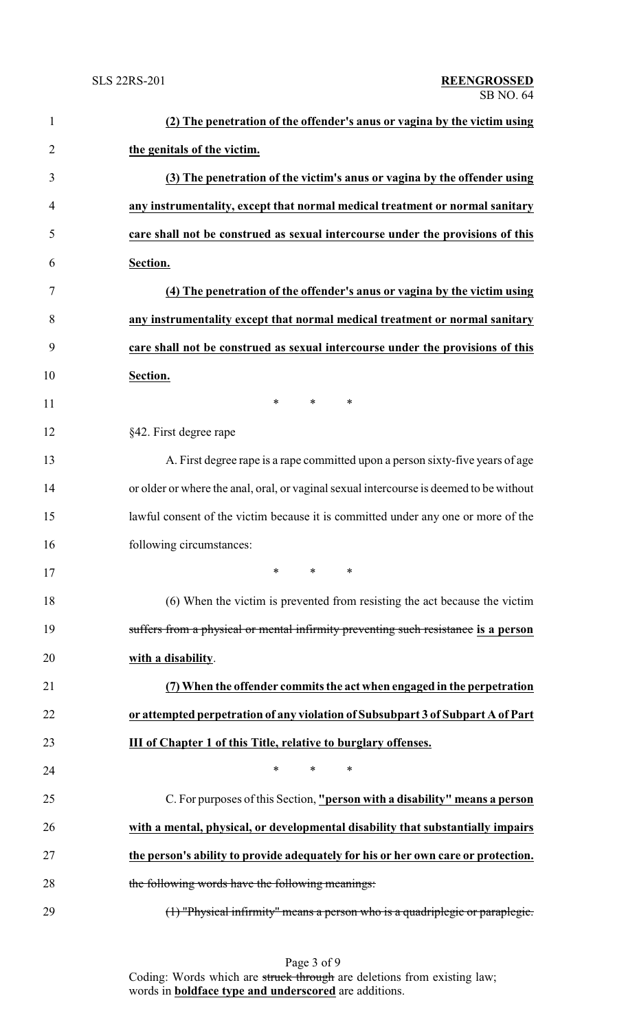| $\mathbf{1}$   | (2) The penetration of the offender's anus or vagina by the victim using                |
|----------------|-----------------------------------------------------------------------------------------|
| $\overline{2}$ | the genitals of the victim.                                                             |
| 3              | (3) The penetration of the victim's anus or vagina by the offender using                |
| $\overline{4}$ | any instrumentality, except that normal medical treatment or normal sanitary            |
| 5              | care shall not be construed as sexual intercourse under the provisions of this          |
| 6              | Section.                                                                                |
| 7              | (4) The penetration of the offender's anus or vagina by the victim using                |
| 8              | any instrumentality except that normal medical treatment or normal sanitary             |
| 9              | care shall not be construed as sexual intercourse under the provisions of this          |
| 10             | Section.                                                                                |
| 11             | $\ast$<br>$\ast$<br>∗                                                                   |
| 12             | §42. First degree rape                                                                  |
| 13             | A. First degree rape is a rape committed upon a person sixty-five years of age          |
| 14             | or older or where the anal, oral, or vaginal sexual intercourse is deemed to be without |
| 15             | lawful consent of the victim because it is committed under any one or more of the       |
| 16             | following circumstances:                                                                |
| 17             |                                                                                         |
| 18             | (6) When the victim is prevented from resisting the act because the victim              |
| 19             | suffers from a physical or mental infirmity preventing such resistance is a person      |
| 20             | with a disability.                                                                      |
| 21             | (7) When the offender commits the act when engaged in the perpetration                  |
| 22             | or attempted perpetration of any violation of Subsubpart 3 of Subpart A of Part         |
| 23             | <b>III of Chapter 1 of this Title, relative to burglary offenses.</b>                   |
| 24             | ∗<br>*<br>∗                                                                             |
| 25             | C. For purposes of this Section, "person with a disability" means a person              |
| 26             | with a mental, physical, or developmental disability that substantially impairs         |
| 27             | the person's ability to provide adequately for his or her own care or protection.       |
| 28             | the following words have the following meanings:                                        |
| 29             | (1) "Physical infirmity" means a person who is a quadriplegic or paraplegic.            |

Page 3 of 9 Coding: Words which are struck through are deletions from existing law; words in **boldface type and underscored** are additions.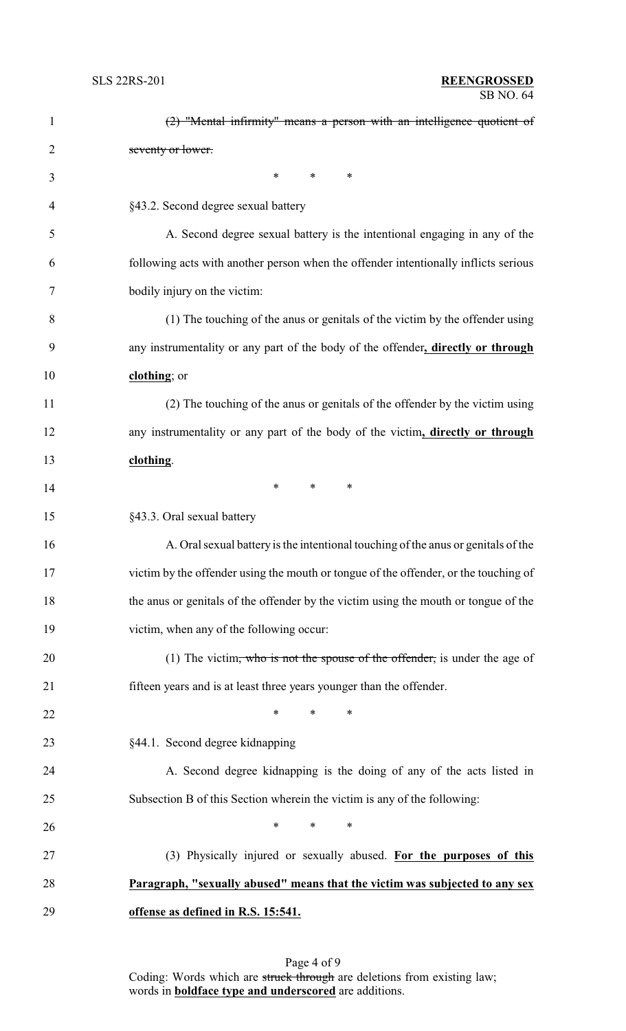| $\mathbf{1}$   | $(2)$ "Mental infirmity" means a person with an intelligence quotient of             |
|----------------|--------------------------------------------------------------------------------------|
| $\overline{2}$ | seventy or lower.                                                                    |
| 3              | $\ast$<br>$*$ $*$<br>∗                                                               |
| $\overline{4}$ | §43.2. Second degree sexual battery                                                  |
| 5              | A. Second degree sexual battery is the intentional engaging in any of the            |
| 6              | following acts with another person when the offender intentionally inflicts serious  |
| 7              | bodily injury on the victim:                                                         |
| 8              | (1) The touching of the anus or genitals of the victim by the offender using         |
| 9              | any instrumentality or any part of the body of the offender, directly or through     |
| 10             | clothing; or                                                                         |
| 11             | (2) The touching of the anus or genitals of the offender by the victim using         |
| 12             | any instrumentality or any part of the body of the victim, directly or through       |
| 13             | clothing.                                                                            |
| 14             | $\ast$<br>*<br>$\ast$                                                                |
| 15             | §43.3. Oral sexual battery                                                           |
| 16             | A. Oral sexual battery is the intentional touching of the anus or genitals of the    |
| 17             | victim by the offender using the mouth or tongue of the offender, or the touching of |
| 18             | the anus or genitals of the offender by the victim using the mouth or tongue of the  |
| 19             | victim, when any of the following occur:                                             |
| 20             | (1) The victim, who is not the spouse of the offender, is under the age of           |
| 21             | fifteen years and is at least three years younger than the offender.                 |
| 22             | $\ast$<br>*<br>$\ast$                                                                |
| 23             | §44.1. Second degree kidnapping                                                      |
| 24             | A. Second degree kidnapping is the doing of any of the acts listed in                |
| 25             | Subsection B of this Section wherein the victim is any of the following:             |
| 26             | $\ast$<br>*<br>$\ast$                                                                |
| 27             | (3) Physically injured or sexually abused. For the purposes of this                  |
| 28             | Paragraph, "sexually abused" means that the victim was subjected to any sex          |
| 29             | offense as defined in R.S. 15:541.                                                   |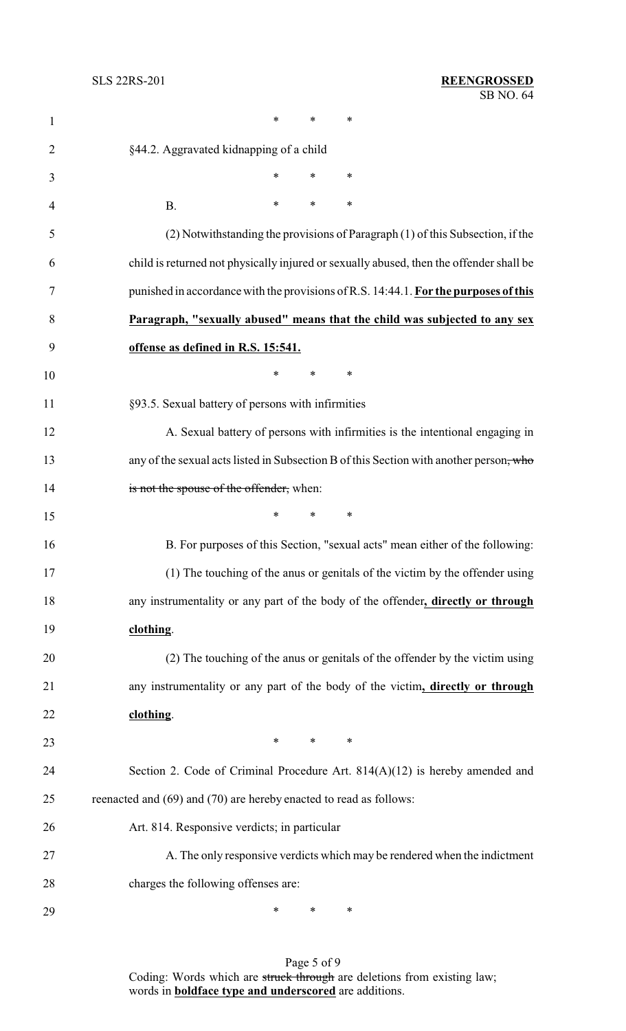| $\mathbf{1}$   | $\ast$<br>*<br>∗                                                                        |
|----------------|-----------------------------------------------------------------------------------------|
| $\overline{2}$ | §44.2. Aggravated kidnapping of a child                                                 |
| 3              | *<br>$\ast$<br>∗                                                                        |
| $\overline{4}$ | *<br>$\ast$<br>∗<br><b>B.</b>                                                           |
| 5              | (2) Notwithstanding the provisions of Paragraph (1) of this Subsection, if the          |
| 6              | child is returned not physically injured or sexually abused, then the offender shall be |
| 7              | punished in accordance with the provisions of R.S. 14:44.1. For the purposes of this    |
| 8              | Paragraph, "sexually abused" means that the child was subjected to any sex              |
| 9              | offense as defined in R.S. 15:541.                                                      |
| 10             | $\ast$<br>∗<br>∗                                                                        |
| 11             | §93.5. Sexual battery of persons with infirmities                                       |
| 12             | A. Sexual battery of persons with infirmities is the intentional engaging in            |
| 13             | any of the sexual acts listed in Subsection B of this Section with another person, who  |
| 14             | is not the spouse of the offender, when:                                                |
| 15             | $\ast$<br>∗<br>∗                                                                        |
| 16             | B. For purposes of this Section, "sexual acts" mean either of the following:            |
| 17             | (1) The touching of the anus or genitals of the victim by the offender using            |
| 18             | any instrumentality or any part of the body of the offender, directly or through        |
| 19             | clothing.                                                                               |
| 20             | (2) The touching of the anus or genitals of the offender by the victim using            |
| 21             | any instrumentality or any part of the body of the victim, directly or through          |
| 22             | clothing.                                                                               |
| 23             | $\ast$<br>$\ast$<br>∗                                                                   |
| 24             | Section 2. Code of Criminal Procedure Art. $814(A)(12)$ is hereby amended and           |
| 25             | reenacted and (69) and (70) are hereby enacted to read as follows:                      |
| 26             | Art. 814. Responsive verdicts; in particular                                            |
| 27             | A. The only responsive verdicts which may be rendered when the indictment               |
| 28             | charges the following offenses are:                                                     |
| 29             | $\ast$<br>∗<br>∗                                                                        |

Page 5 of 9 Coding: Words which are struck through are deletions from existing law; words in **boldface type and underscored** are additions.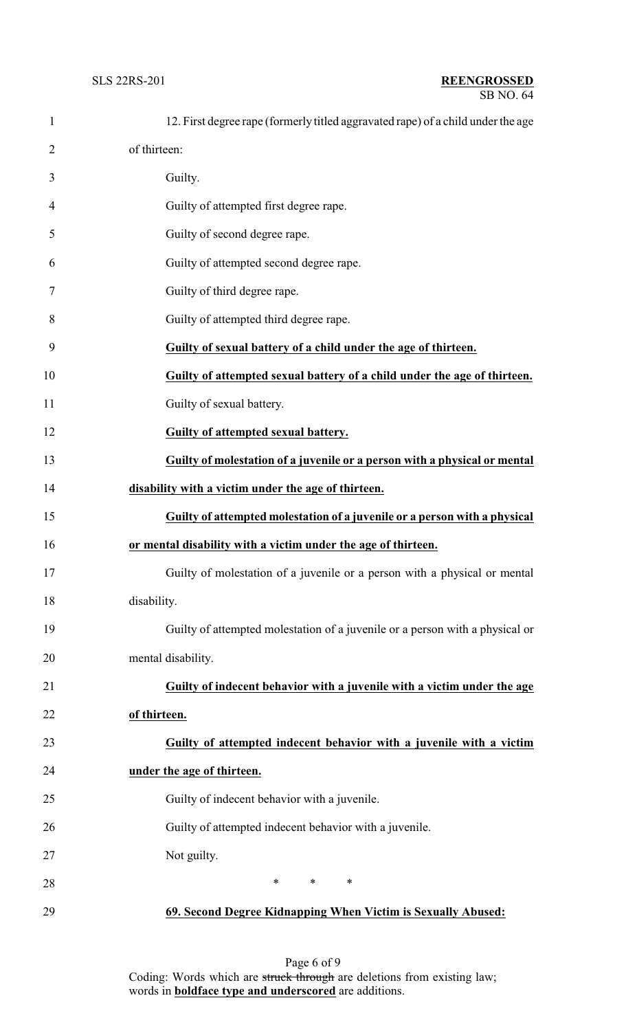| $\mathbf{1}$   | 12. First degree rape (formerly titled aggravated rape) of a child under the age |
|----------------|----------------------------------------------------------------------------------|
| $\overline{2}$ | of thirteen:                                                                     |
| 3              | Guilty.                                                                          |
| 4              | Guilty of attempted first degree rape.                                           |
| 5              | Guilty of second degree rape.                                                    |
| 6              | Guilty of attempted second degree rape.                                          |
| 7              | Guilty of third degree rape.                                                     |
| 8              | Guilty of attempted third degree rape.                                           |
| 9              | Guilty of sexual battery of a child under the age of thirteen.                   |
| 10             | Guilty of attempted sexual battery of a child under the age of thirteen.         |
| 11             | Guilty of sexual battery.                                                        |
| 12             | Guilty of attempted sexual battery.                                              |
| 13             | Guilty of molestation of a juvenile or a person with a physical or mental        |
| 14             | disability with a victim under the age of thirteen.                              |
| 15             | Guilty of attempted molestation of a juvenile or a person with a physical        |
| 16             | or mental disability with a victim under the age of thirteen.                    |
| 17             | Guilty of molestation of a juvenile or a person with a physical or mental        |
| 18             | disability.                                                                      |
| 19             | Guilty of attempted molestation of a juvenile or a person with a physical or     |
| 20             | mental disability.                                                               |
| 21             | Guilty of indecent behavior with a juvenile with a victim under the age          |
| 22             | of thirteen.                                                                     |
| 23             | Guilty of attempted indecent behavior with a juvenile with a victim              |
| 24             | under the age of thirteen.                                                       |
| 25             | Guilty of indecent behavior with a juvenile.                                     |
| 26             | Guilty of attempted indecent behavior with a juvenile.                           |
| 27             | Not guilty.                                                                      |
| 28             | $\ast$<br>$\ast$<br>$\ast$                                                       |
| 29             | 69. Second Degree Kidnapping When Victim is Sexually Abused:                     |

Page 6 of 9 Coding: Words which are struck through are deletions from existing law; words in **boldface type and underscored** are additions.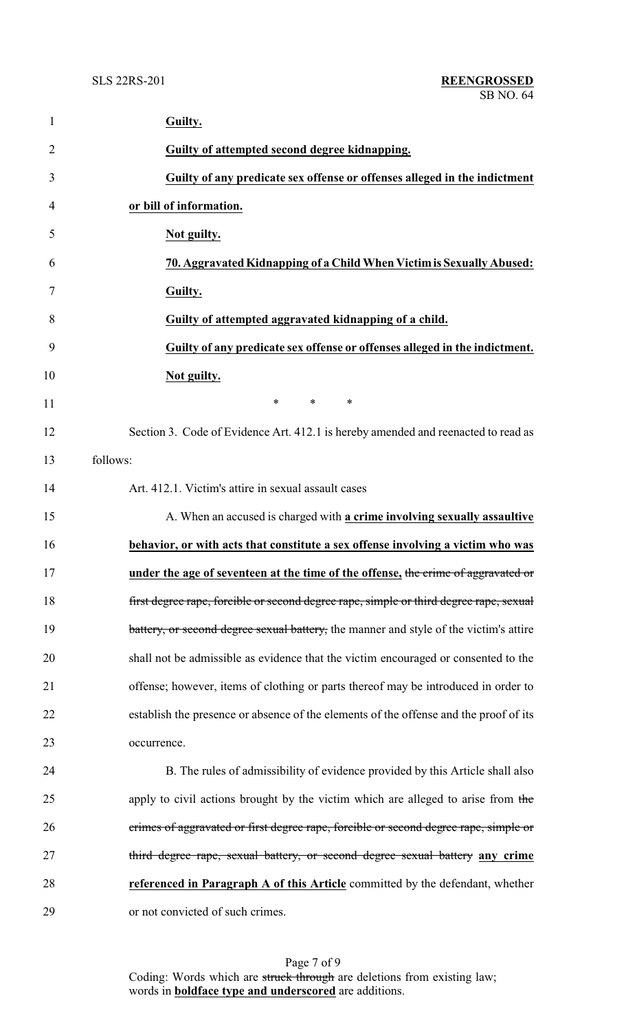| $\mathbf{1}$   | Guilty.                                                                                |
|----------------|----------------------------------------------------------------------------------------|
| $\overline{2}$ | Guilty of attempted second degree kidnapping.                                          |
| 3              | Guilty of any predicate sex offense or offenses alleged in the indictment              |
| 4              | or bill of information.                                                                |
| 5              | Not guilty.                                                                            |
| 6              | 70. Aggravated Kidnapping of a Child When Victim is Sexually Abused:                   |
| 7              | Guilty.                                                                                |
| 8              | Guilty of attempted aggravated kidnapping of a child.                                  |
| 9              | Guilty of any predicate sex offense or offenses alleged in the indictment.             |
| 10             | Not guilty.                                                                            |
| 11             | $\ast$<br>*<br>∗                                                                       |
| 12             | Section 3. Code of Evidence Art. 412.1 is hereby amended and reenacted to read as      |
| 13             | follows:                                                                               |
| 14             | Art. 412.1. Victim's attire in sexual assault cases                                    |
| 15             | A. When an accused is charged with a crime involving sexually assaultive               |
| 16             | behavior, or with acts that constitute a sex offense involving a victim who was        |
| 17             | under the age of seventeen at the time of the offense, the crime of aggravated or      |
| 18             | first degree rape, forcible or second degree rape, simple or third degree rape, sexual |
| 19             | battery, or second degree sexual battery, the manner and style of the victim's attire  |
| 20             | shall not be admissible as evidence that the victim encouraged or consented to the     |
| 21             | offense; however, items of clothing or parts thereof may be introduced in order to     |
| 22             | establish the presence or absence of the elements of the offense and the proof of its  |
| 23             | occurrence.                                                                            |
| 24             | B. The rules of admissibility of evidence provided by this Article shall also          |
| 25             | apply to civil actions brought by the victim which are alleged to arise from the       |
| 26             | crimes of aggravated or first degree rape, forcible or second degree rape, simple or   |
| 27             | third degree rape, sexual battery, or second degree sexual battery any crime           |
| 28             | referenced in Paragraph A of this Article committed by the defendant, whether          |
| 29             | or not convicted of such crimes.                                                       |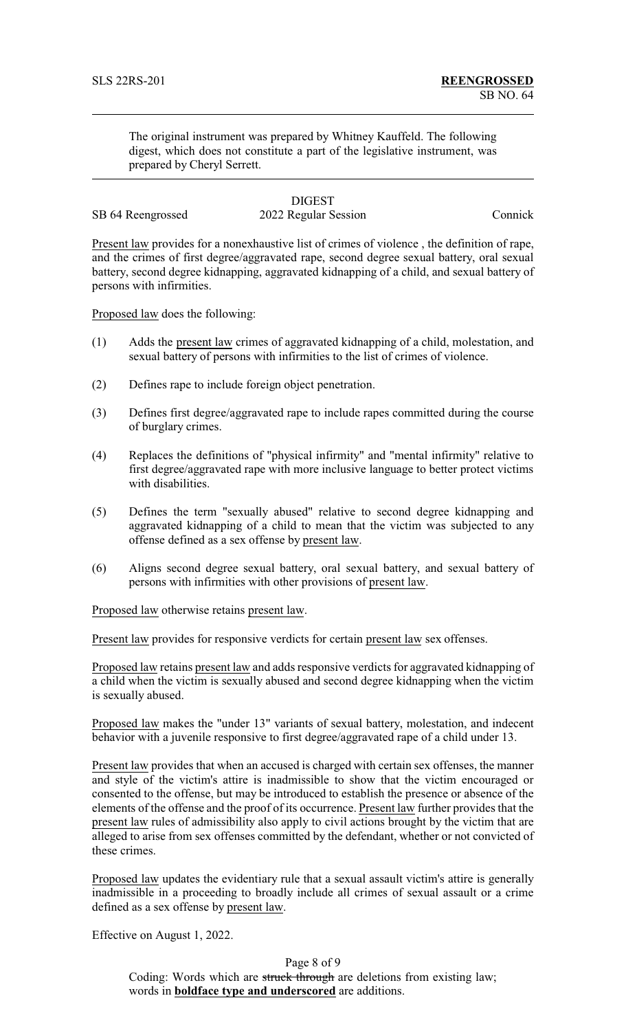The original instrument was prepared by Whitney Kauffeld. The following digest, which does not constitute a part of the legislative instrument, was prepared by Cheryl Serrett.

#### **DIGEST** SB 64 Reengrossed 2022 Regular Session Connick

Present law provides for a nonexhaustive list of crimes of violence , the definition of rape, and the crimes of first degree/aggravated rape, second degree sexual battery, oral sexual battery, second degree kidnapping, aggravated kidnapping of a child, and sexual battery of persons with infirmities.

Proposed law does the following:

- (1) Adds the present law crimes of aggravated kidnapping of a child, molestation, and sexual battery of persons with infirmities to the list of crimes of violence.
- (2) Defines rape to include foreign object penetration.
- (3) Defines first degree/aggravated rape to include rapes committed during the course of burglary crimes.
- (4) Replaces the definitions of "physical infirmity" and "mental infirmity" relative to first degree/aggravated rape with more inclusive language to better protect victims with disabilities.
- (5) Defines the term "sexually abused" relative to second degree kidnapping and aggravated kidnapping of a child to mean that the victim was subjected to any offense defined as a sex offense by present law.
- (6) Aligns second degree sexual battery, oral sexual battery, and sexual battery of persons with infirmities with other provisions of present law.

Proposed law otherwise retains present law.

Present law provides for responsive verdicts for certain present law sex offenses.

Proposed law retains present law and adds responsive verdicts for aggravated kidnapping of a child when the victim is sexually abused and second degree kidnapping when the victim is sexually abused.

Proposed law makes the "under 13" variants of sexual battery, molestation, and indecent behavior with a juvenile responsive to first degree/aggravated rape of a child under 13.

Present law provides that when an accused is charged with certain sex offenses, the manner and style of the victim's attire is inadmissible to show that the victim encouraged or consented to the offense, but may be introduced to establish the presence or absence of the elements of the offense and the proof of its occurrence. Present law further provides that the present law rules of admissibility also apply to civil actions brought by the victim that are alleged to arise from sex offenses committed by the defendant, whether or not convicted of these crimes.

Proposed law updates the evidentiary rule that a sexual assault victim's attire is generally inadmissible in a proceeding to broadly include all crimes of sexual assault or a crime defined as a sex offense by present law.

Effective on August 1, 2022.

Page 8 of 9 Coding: Words which are struck through are deletions from existing law; words in **boldface type and underscored** are additions.